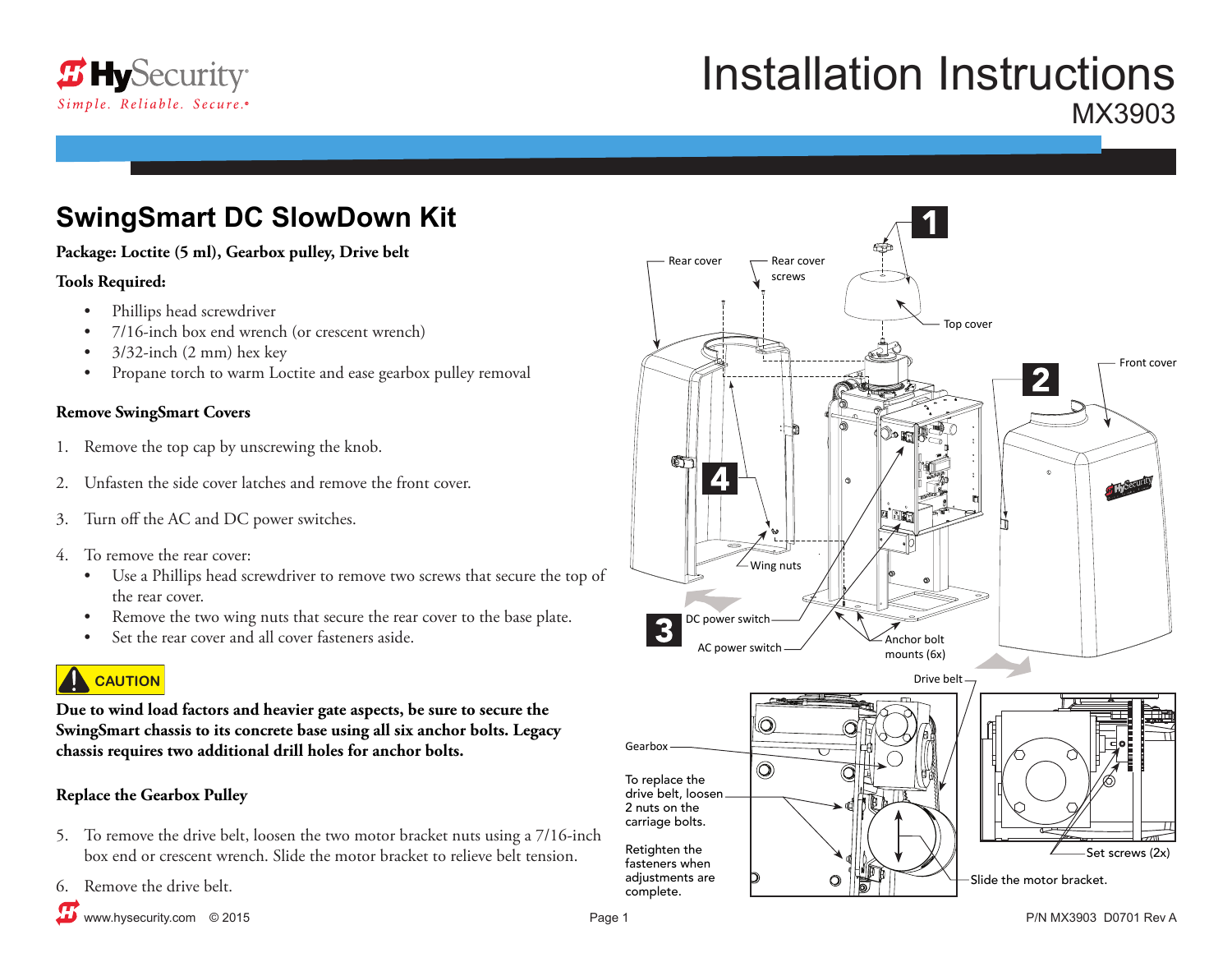

# Installation Instructions MX3903

## **SwingSmart DC SlowDown Kit**

#### **Package: Loctite (5 ml), Gearbox pulley, Drive belt**

#### **Tools Required:**

- Phillips head screwdriver
- 7/16-inch box end wrench (or crescent wrench)
- $3/32$ -inch  $(2 \text{ mm})$  hex key
- Propane torch to warm Loctite and ease gearbox pulley removal

### **Remove SwingSmart Covers**

- 1. Remove the top cap by unscrewing the knob.
- 2. Unfasten the side cover latches and remove the front cover.
- 3. Turn off the AC and DC power switches.
- 4. To remove the rear cover:
	- Use a Phillips head screwdriver to remove two screws that secure the top of the rear cover.
	- Remove the two wing nuts that secure the rear cover to the base plate.
	- Set the rear cover and all cover fasteners aside.

### **CAUTION**

**Due to wind load factors and heavier gate aspects, be sure to secure the SwingSmart chassis to its concrete base using all six anchor bolts. Legacy chassis requires two additional drill holes for anchor bolts.**

### **Replace the Gearbox Pulley**

- 5. To remove the drive belt, loosen the two motor bracket nuts using a 7/16-inch box end or crescent wrench. Slide the motor bracket to relieve belt tension.
- 6. Remove the drive belt.